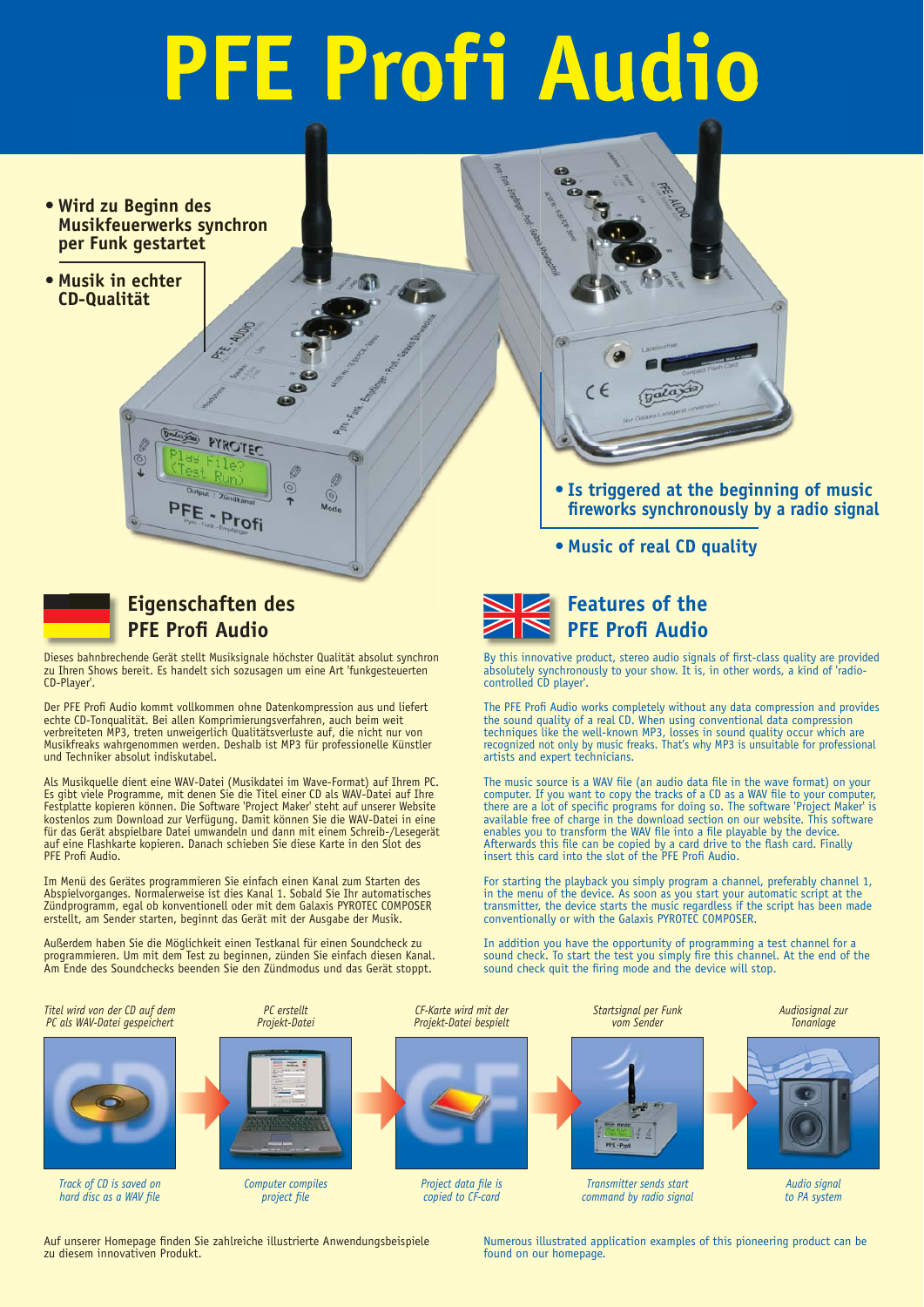# **PFE Profi Audio**

 $\sqrt{2}$ 

 $\circ$ 

 $\odot$ 

- **Wird zu Beginn des Musikfeuerwerks synchron per Funk gestartet**
- **Musik in echter CD-Qualität Eigenschaften**<br>
Eigenschaften<br>
Eigenschaften<br>
Eigenschaften<br>
Eigenschaften<br>
Eigenschaften



# **Eigenschaften des PFE Profi Audio**

Dieses bahnbrechende Gerät stellt Musiksignale höchster Qualität absolut synchron zu Ihren Shows bereit. Es handelt sich sozusagen um eine Art 'funkgesteuerten CD-Player'.

Der PFE Profi Audio kommt vollkommen ohne Datenkompression aus und liefert echte CD-Tonqualität. Bei allen Komprimierungsverfahren, auch beim weit verbreiteten MP3, treten unweigerlich Qualitätsverluste auf, die nicht nur von Musikfreaks wahrgenommen werden. Deshalb ist MP3 für professionelle Künstler und Techniker absolut indiskutabel.

Als Musikquelle dient eine WAV-Datei (Musikdatei im Wave-Format) auf Ihrem PC. Es gibt viele Programme, mit denen Sie die Titel einer CD als WAV-Datei auf Ihre Festplatte kopieren können. Die Software 'Project Maker' steht auf unserer Website kostenlos zum Download zur Verfügung. Damit können Sie die WAV-Datei in eine für das Gerät abspielbare Datei umwandeln und dann mit einem Schreib-/Lesegerät auf eine Flashkarte kopieren. Danach schieben Sie diese Karte in den Slot des PFE Profi Audio.

Im Menü des Gerätes programmieren Sie einfach einen Kanal zum Starten des Abspielvorganges. Normalerweise ist dies Kanal 1. Sobald Sie Ihr automatisches Zündprogramm, egal ob konventionell oder mit dem Galaxis PYROTEC COMPOSER erstellt, am Sender starten, beginnt das Gerät mit der Ausgabe der Musik.

Außerdem haben Sie die Möglichkeit einen Testkanal für einen Soundcheck zu programmieren. Um mit dem Test zu beginnen, zünden Sie einfach diesen Kanal. Am Ende des Soundchecks beenden Sie den Zündmodus und das Gerät stoppt.



- **•** Is triggered at the beginning of music  **fi reworks synchronously by a radio signal**
- **Music of real CD quality**



By this innovative product, stereo audio signals of first-class quality are provided absolutely synchronously to your show. It is, in other words, a kind of 'radiocontrolled CD player'.

The PFE Profi Audio works completely without any data compression and provides the sound quality of a real CD. When using conventional data compression techniques like the well-known MP3, losses in sound quality occur which are recognized not only by music freaks. That's why MP3 is unsuitable for professional artists and expert technicians.

The music source is a WAV file (an audio data file in the wave format) on your<br>computer. If you want to copy the tracks of a CD as a WAV file to your computer,<br>there are a lot of specific programs for doing so. The softwar available free of charge in the download section on our website. This software enables you to transform the WAV file into a file playable by the device. Afterwards this file can be copied by a card drive to the flash card. Finally insert this card into the slot of the PFE Profi Audio.

For starting the playback you simply program a channel, preferably channel 1, in the menu of the device. As soon as you start your automatic script at the transmitter, the device starts the music regardless if the script has been made conventionally or with the Galaxis PYROTEC COMPOSER.

In addition you have the opportunity of programming a test channel for a sound check. To start the test you simply fire this channel. At the end of the sound check quit the firing mode and the device will stop.



*copied to CF-card*





*project file* 



*Audio signal to PA system*

Auf unserer Homepage finden Sie zahlreiche illustrierte Anwendungsbeispiele zu diesem innovativen Produkt.

Numerous illustrated application examples of this pioneering product can be found on our homepage.